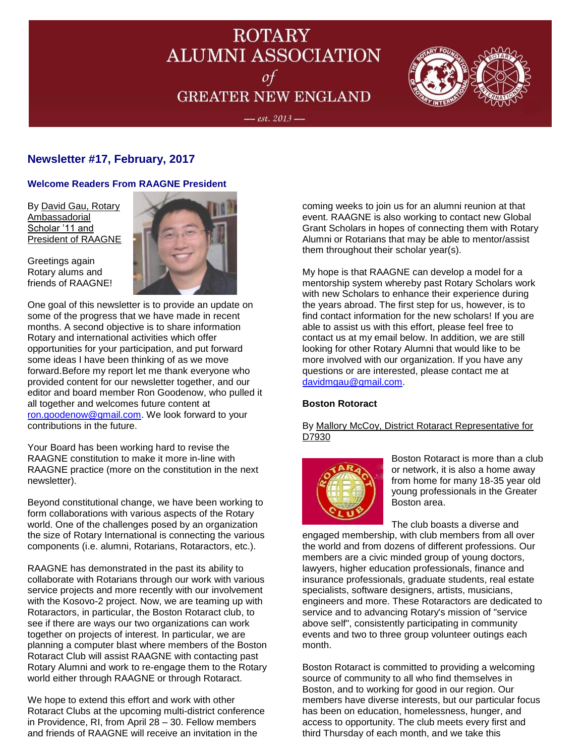# **ROTARY ALUMNI ASSOCIATION** of **GREATER NEW ENGLAND**



#### $-$  est. 2013  $-$

## **Newsletter #17, February, 2017**

### **Welcome Readers From RAAGNE President**

By David Gau, Rotary Ambassadorial Scholar '11 and President of RAAGNE

Greetings again Rotary alums and friends of RAAGNE!



One goal of this newsletter is to provide an update on some of the progress that we have made in recent months. A second objective is to share information Rotary and international activities which offer opportunities for your participation, and put forward some ideas I have been thinking of as we move forward.Before my report let me thank everyone who provided content for our newsletter together, and our editor and board member Ron Goodenow, who pulled it all together and welcomes future content at [ron.goodenow@gmail.com.](mailto:ron.goodenow@gmail.com) We look forward to your contributions in the future.

Your Board has been working hard to revise the RAAGNE constitution to make it more in-line with RAAGNE practice (more on the constitution in the next newsletter).

Beyond constitutional change, we have been working to form collaborations with various aspects of the Rotary world. One of the challenges posed by an organization the size of Rotary International is connecting the various components (i.e. alumni, Rotarians, Rotaractors, etc.).

RAAGNE has demonstrated in the past its ability to collaborate with Rotarians through our work with various service projects and more recently with our involvement with the Kosovo-2 project. Now, we are teaming up with Rotaractors, in particular, the Boston Rotaract club, to see if there are ways our two organizations can work together on projects of interest. In particular, we are planning a computer blast where members of the Boston Rotaract Club will assist RAAGNE with contacting past Rotary Alumni and work to re-engage them to the Rotary world either through RAAGNE or through Rotaract.

We hope to extend this effort and work with other Rotaract Clubs at the upcoming multi-district conference in Providence, RI, from April 28 – 30. Fellow members and friends of RAAGNE will receive an invitation in the

coming weeks to join us for an alumni reunion at that event. RAAGNE is also working to contact new Global Grant Scholars in hopes of connecting them with Rotary Alumni or Rotarians that may be able to mentor/assist them throughout their scholar year(s).

My hope is that RAAGNE can develop a model for a mentorship system whereby past Rotary Scholars work with new Scholars to enhance their experience during the years abroad. The first step for us, however, is to find contact information for the new scholars! If you are able to assist us with this effort, please feel free to contact us at my email below. In addition, we are still looking for other Rotary Alumni that would like to be more involved with our organization. If you have any questions or are interested, please contact me at [davidmgau@gmail.com.](mailto:davidmgau@gmail.com)

#### **Boston Rotoract**

By Mallory McCoy, District Rotaract Representative for D7930



Boston Rotaract is more than a club or network, it is also a home away from home for many 18-35 year old young professionals in the Greater Boston area.

The club boasts a diverse and engaged membership, with club members from all over the world and from dozens of different professions. Our members are a civic minded group of young doctors, lawyers, higher education professionals, finance and insurance professionals, graduate students, real estate specialists, software designers, artists, musicians, engineers and more. These Rotaractors are dedicated to service and to advancing Rotary's mission of "service above self", consistently participating in community events and two to three group volunteer outings each month.

Boston Rotaract is committed to providing a welcoming source of community to all who find themselves in Boston, and to working for good in our region. Our members have diverse interests, but our particular focus has been on education, homelessness, hunger, and access to opportunity. The club meets every first and third Thursday of each month, and we take this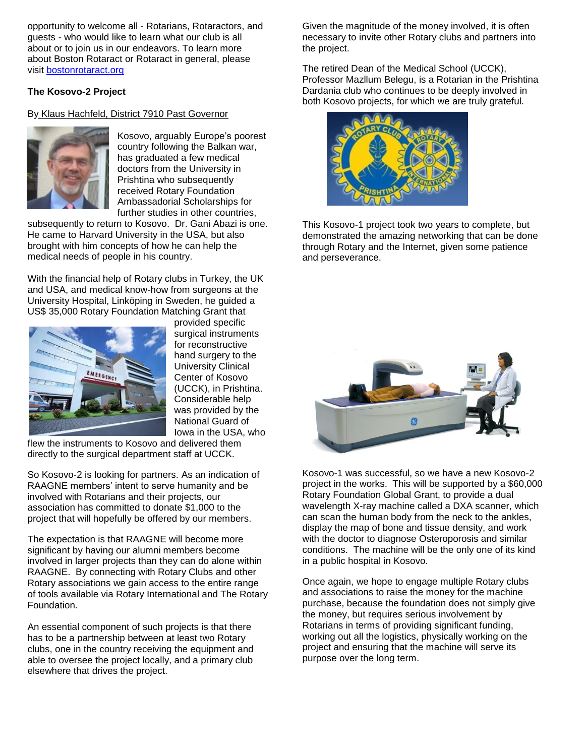opportunity to welcome all - Rotarians, Rotaractors, and guests - who would like to learn what our club is all about or to join us in our endeavors. To learn more about Boston Rotaract or Rotaract in general, please visit [bostonrotaract.org](http://www.bostonrotaract.org/)

#### **The Kosovo-2 Project**

By Klaus Hachfeld, District 7910 Past Governor



Kosovo, arguably Europe's poorest country following the Balkan war, has graduated a few medical doctors from the University in Prishtina who subsequently received Rotary Foundation Ambassadorial Scholarships for further studies in other countries,

subsequently to return to Kosovo. Dr. Gani Abazi is one. He came to Harvard University in the USA, but also brought with him concepts of how he can help the medical needs of people in his country.

With the financial help of Rotary clubs in Turkey, the UK and USA, and medical know-how from surgeons at the University Hospital, Linköping in Sweden, he guided a US\$ 35,000 Rotary Foundation Matching Grant that



provided specific surgical instruments for reconstructive hand surgery to the University Clinical Center of Kosovo (UCCK), in Prishtina. Considerable help was provided by the National Guard of Iowa in the USA, who

flew the instruments to Kosovo and delivered them directly to the surgical department staff at UCCK.

So Kosovo-2 is looking for partners. As an indication of RAAGNE members' intent to serve humanity and be involved with Rotarians and their projects, our association has committed to donate \$1,000 to the project that will hopefully be offered by our members.

The expectation is that RAAGNE will become more significant by having our alumni members become involved in larger projects than they can do alone within RAAGNE. By connecting with Rotary Clubs and other Rotary associations we gain access to the entire range of tools available via Rotary International and The Rotary Foundation.

An essential component of such projects is that there has to be a partnership between at least two Rotary clubs, one in the country receiving the equipment and able to oversee the project locally, and a primary club elsewhere that drives the project.

Given the magnitude of the money involved, it is often necessary to invite other Rotary clubs and partners into the project.

The retired Dean of the Medical School (UCCK), Professor Mazllum Belegu, is a Rotarian in the Prishtina Dardania club who continues to be deeply involved in both Kosovo projects, for which we are truly grateful.



This Kosovo-1 project took two years to complete, but demonstrated the amazing networking that can be done through Rotary and the Internet, given some patience and perseverance.



Kosovo-1 was successful, so we have a new Kosovo-2 project in the works. This will be supported by a \$60,000 Rotary Foundation Global Grant, to provide a dual wavelength X-ray machine called a DXA scanner, which can scan the human body from the neck to the ankles, display the map of bone and tissue density, and work with the doctor to diagnose Osteroporosis and similar conditions. The machine will be the only one of its kind in a public hospital in Kosovo.

Once again, we hope to engage multiple Rotary clubs and associations to raise the money for the machine purchase, because the foundation does not simply give the money, but requires serious involvement by Rotarians in terms of providing significant funding, working out all the logistics, physically working on the project and ensuring that the machine will serve its purpose over the long term.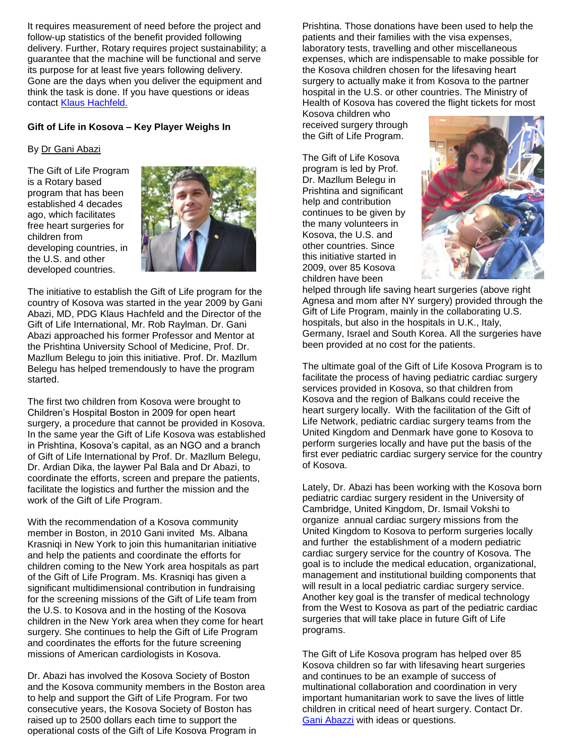It requires measurement of need before the project and follow-up statistics of the benefit provided following delivery. Further, Rotary requires project sustainability; a guarantee that the machine will be functional and serve its purpose for at least five years following delivery. Gone are the days when you deliver the equipment and think the task is done. If you have questions or ideas contact [Klaus Hachfeld.](mailto:lazerklaus@gmail.com)

#### **Gift of Life in Kosova – Key Player Weighs In**

#### By Dr Gani Abazi

The Gift of Life Program is a Rotary based program that has been established 4 decades ago, which facilitates free heart surgeries for children from developing countries, in the U.S. and other developed countries.



The initiative to establish the Gift of Life program for the country of Kosova was started in the year 2009 by Gani Abazi, MD, PDG Klaus Hachfeld and the Director of the Gift of Life International, Mr. Rob Raylman. Dr. Gani Abazi approached his former Professor and Mentor at the Prishtina University School of Medicine, Prof. Dr. Mazllum Belegu to join this initiative. Prof. Dr. Mazllum Belegu has helped tremendously to have the program started.

The first two children from Kosova were brought to Children's Hospital Boston in 2009 for open heart surgery, a procedure that cannot be provided in Kosova. In the same year the Gift of Life Kosova was established in Prishtina, Kosova's capital, as an NGO and a branch of Gift of Life International by Prof. Dr. Mazllum Belegu, Dr. Ardian Dika, the laywer Pal Bala and Dr Abazi, to coordinate the efforts, screen and prepare the patients, facilitate the logistics and further the mission and the work of the Gift of Life Program.

With the recommendation of a Kosova community member in Boston, in 2010 Gani invited Ms. Albana Krasniqi in New York to join this humanitarian initiative and help the patients and coordinate the efforts for children coming to the New York area hospitals as part of the Gift of Life Program. Ms. Krasniqi has given a significant multidimensional contribution in fundraising for the screening missions of the Gift of Life team from the U.S. to Kosova and in the hosting of the Kosova children in the New York area when they come for heart surgery. She continues to help the Gift of Life Program and coordinates the efforts for the future screening missions of American cardiologists in Kosova.

Dr. Abazi has involved the Kosova Society of Boston and the Kosova community members in the Boston area to help and support the Gift of Life Program. For two consecutive years, the Kosova Society of Boston has raised up to 2500 dollars each time to support the operational costs of the Gift of Life Kosova Program in

Prishtina. Those donations have been used to help the patients and their families with the visa expenses, laboratory tests, travelling and other miscellaneous expenses, which are indispensable to make possible for the Kosova children chosen for the lifesaving heart surgery to actually make it from Kosova to the partner hospital in the U.S. or other countries. The Ministry of Health of Kosova has covered the flight tickets for most

Kosova children who received surgery through the Gift of Life Program.

The Gift of Life Kosova program is led by Prof. Dr. Mazllum Belegu in Prishtina and significant help and contribution continues to be given by the many volunteers in Kosova, the U.S. and other countries. Since this initiative started in 2009, over 85 Kosova children have been



helped through life saving heart surgeries (above right Agnesa and mom after NY surgery) provided through the Gift of Life Program, mainly in the collaborating U.S. hospitals, but also in the hospitals in U.K., Italy, Germany, Israel and South Korea. All the surgeries have been provided at no cost for the patients.

The ultimate goal of the Gift of Life Kosova Program is to facilitate the process of having pediatric cardiac surgery services provided in Kosova, so that children from Kosova and the region of Balkans could receive the heart surgery locally. With the facilitation of the Gift of Life Network, pediatric cardiac surgery teams from the United Kingdom and Denmark have gone to Kosova to perform surgeries locally and have put the basis of the first ever pediatric cardiac surgery service for the country of Kosova.

Lately, Dr. Abazi has been working with the Kosova born pediatric cardiac surgery resident in the University of Cambridge, United Kingdom, Dr. Ismail Vokshi to organize annual cardiac surgery missions from the United Kingdom to Kosova to perform surgeries locally and further the establishment of a modern pediatric cardiac surgery service for the country of Kosova. The goal is to include the medical education, organizational, management and institutional building components that will result in a local pediatric cardiac surgery service. Another key goal is the transfer of medical technology from the West to Kosova as part of the pediatric cardiac surgeries that will take place in future Gift of Life programs.

The Gift of Life Kosova program has helped over 85 Kosova children so far with lifesaving heart surgeries and continues to be an example of success of multinational collaboration and coordination in very important humanitarian work to save the lives of little children in critical need of heart surgery. Contact Dr. [Gani Abazzi](mailto:gani.abazi2@gmail.com) with ideas or questions.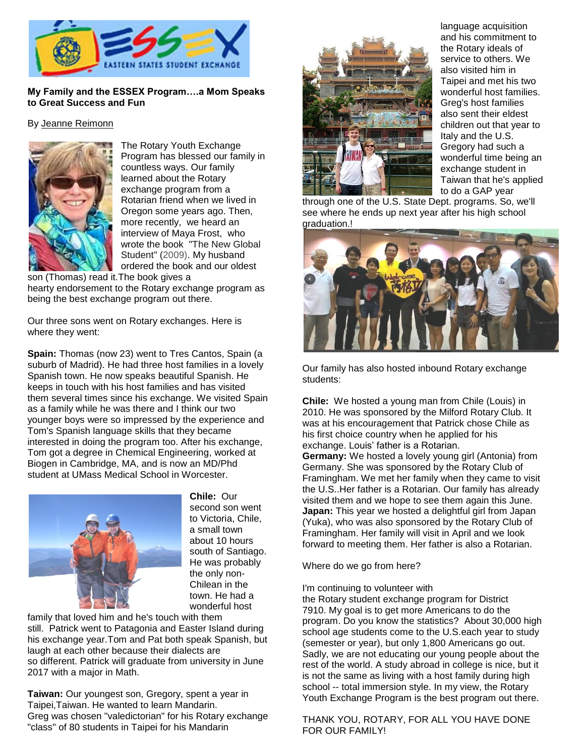

#### **My Family and the ESSEX Program….a Mom Speaks to Great Success and Fun**

#### By Jeanne Reimonn



The Rotary Youth Exchange Program has blessed our family in countless ways. Our family learned about the Rotary exchange program from a Rotarian friend when we lived in Oregon some years ago. Then, more recently, we heard an interview of Maya Frost, who wrote the book "The New Global Student" (2009). My husband ordered the book and our oldest

son (Thomas) read it.The book gives a hearty endorsement to the Rotary exchange program as being the best exchange program out there.

Our three sons went on Rotary exchanges. Here is where they went:

**Spain:** Thomas (now 23) went to Tres Cantos, Spain (a suburb of Madrid). He had three host families in a lovely Spanish town. He now speaks beautiful Spanish. He keeps in touch with his host families and has visited them several times since his exchange. We visited Spain as a family while he was there and I think our two younger boys were so impressed by the experience and Tom's Spanish language skills that they became interested in doing the program too. After his exchange, Tom got a degree in Chemical Engineering, worked at Biogen in Cambridge, MA, and is now an MD/Phd student at UMass Medical School in Worcester.



**Chile:** Our second son went to Victoria, Chile, a small town about 10 hours south of Santiago. He was probably the only non-Chilean in the town. He had a wonderful host

family that loved him and he's touch with them still. Patrick went to Patagonia and Easter Island during his exchange year.Tom and Pat both speak Spanish, but laugh at each other because their dialects are so different. Patrick will graduate from university in June 2017 with a major in Math.

**Taiwan:** Our youngest son, Gregory, spent a year in Taipei,Taiwan. He wanted to learn Mandarin. Greg was chosen "valedictorian" for his Rotary exchange "class" of 80 students in Taipei for his Mandarin



language acquisition and his commitment to the Rotary ideals of service to others. We also visited him in Taipei and met his two wonderful host families. Greg's host families also sent their eldest children out that year to Italy and the U.S. Gregory had such a wonderful time being an exchange student in Taiwan that he's applied to do a GAP year

through one of the U.S. State Dept. programs. So, we'll see where he ends up next year after his high school graduation.!



Our family has also hosted inbound Rotary exchange students:

**Chile:** We hosted a young man from Chile (Louis) in 2010. He was sponsored by the Milford Rotary Club. It was at his encouragement that Patrick chose Chile as his first choice country when he applied for his exchange. Louis' father is a Rotarian.

**Germany:** We hosted a lovely young girl (Antonia) from Germany. She was sponsored by the Rotary Club of Framingham. We met her family when they came to visit the U.S..Her father is a Rotarian. Our family has already visited them and we hope to see them again this June. **Japan:** This year we hosted a delightful girl from Japan (Yuka), who was also sponsored by the Rotary Club of Framingham. Her family will visit in April and we look forward to meeting them. Her father is also a Rotarian.

Where do we go from here?

I'm continuing to volunteer with

the Rotary student exchange program for District 7910. My goal is to get more Americans to do the program. Do you know the statistics? About 30,000 high school age students come to the U.S.each year to study (semester or year), but only 1,800 Americans go out. Sadly, we are not educating our young people about the rest of the world. A study abroad in college is nice, but it is not the same as living with a host family during high school -- total immersion style. In my view, the Rotary Youth Exchange Program is the best program out there.

THANK YOU, ROTARY, FOR ALL YOU HAVE DONE FOR OUR FAMILY!